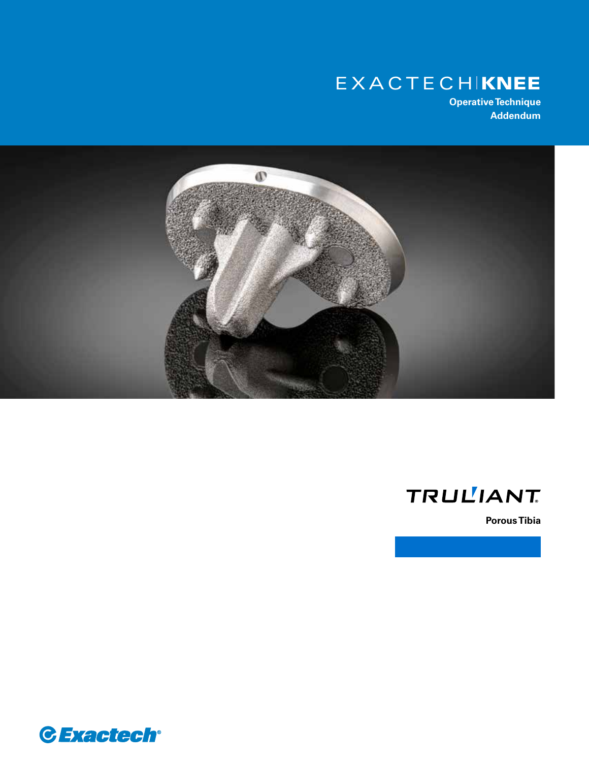# EXACTECHIKNEE

**Operative Technique Addendum**



# **TRULIANT**

**Porous Tibia**

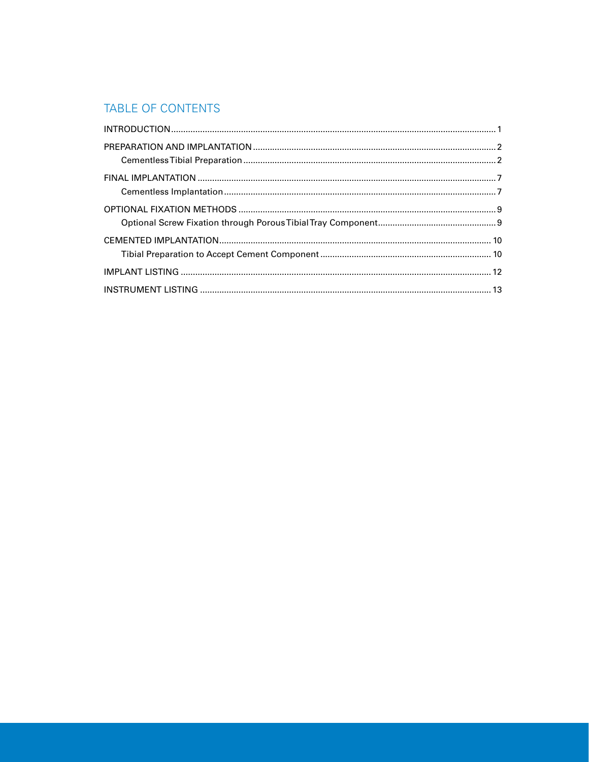## TABLE OF CONTENTS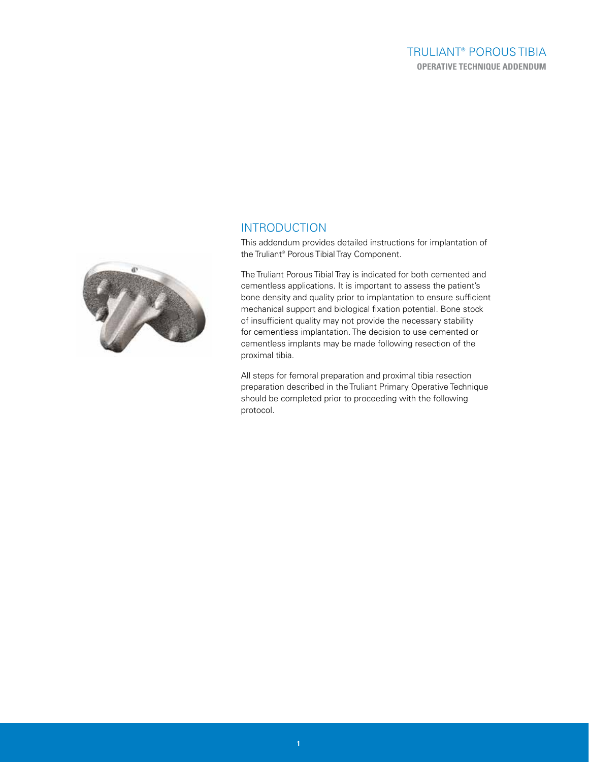## TRULIANT® POROUS TIBIA **OPERATIVE TECHNIQUE ADDENDUM**



## INTRODUCTION

This addendum provides detailed instructions for implantation of the Truliant® Porous Tibial Tray Component.

The Truliant Porous Tibial Tray is indicated for both cemented and cementless applications. It is important to assess the patient's bone density and quality prior to implantation to ensure sufficient mechanical support and biological fixation potential. Bone stock of insufficient quality may not provide the necessary stability for cementless implantation. The decision to use cemented or cementless implants may be made following resection of the proximal tibia.

All steps for femoral preparation and proximal tibia resection preparation described in the Truliant Primary Operative Technique should be completed prior to proceeding with the following protocol.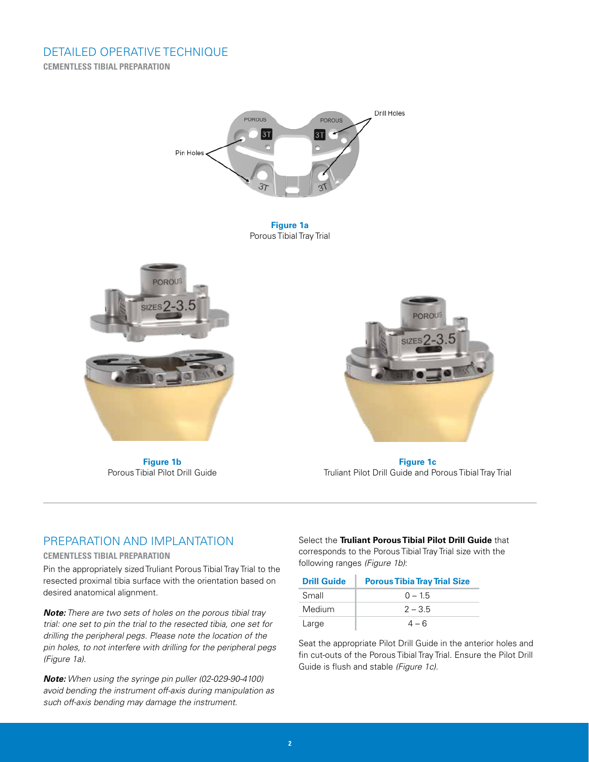

**Figure 1a** Porous Tibial Tray Trial



**Figure 1b** Porous Tibial Pilot Drill Guide



**Figure 1c** Truliant Pilot Drill Guide and Porous Tibial Tray Trial

## PREPARATION AND IMPLANTATION

#### **CEMENTLESS TIBIAL PREPARATION**

Pin the appropriately sized Truliant Porous Tibial Tray Trial to the resected proximal tibia surface with the orientation based on desired anatomical alignment.

*Note: There are two sets of holes on the porous tibial tray trial: one set to pin the trial to the resected tibia, one set for drilling the peripheral pegs. Please note the location of the pin holes, to not interfere with drilling for the peripheral pegs (Figure 1a).*

*Note: When using the syringe pin puller (02-029-90-4100) avoid bending the instrument off-axis during manipulation as such off-axis bending may damage the instrument.*

Select the **Truliant Porous Tibial Pilot Drill Guide** that

corresponds to the Porous Tibial Tray Trial size with the following ranges *(Figure 1b)*:

| <b>Drill Guide</b> | <b>Porous Tibia Tray Trial Size</b> |
|--------------------|-------------------------------------|
| Small              | $0 - 1.5$                           |
| Medium             | $2 - 3.5$                           |
| Large              | $4-6$                               |

Seat the appropriate Pilot Drill Guide in the anterior holes and fin cut-outs of the Porous Tibial Tray Trial. Ensure the Pilot Drill Guide is flush and stable *(Figure 1c)*.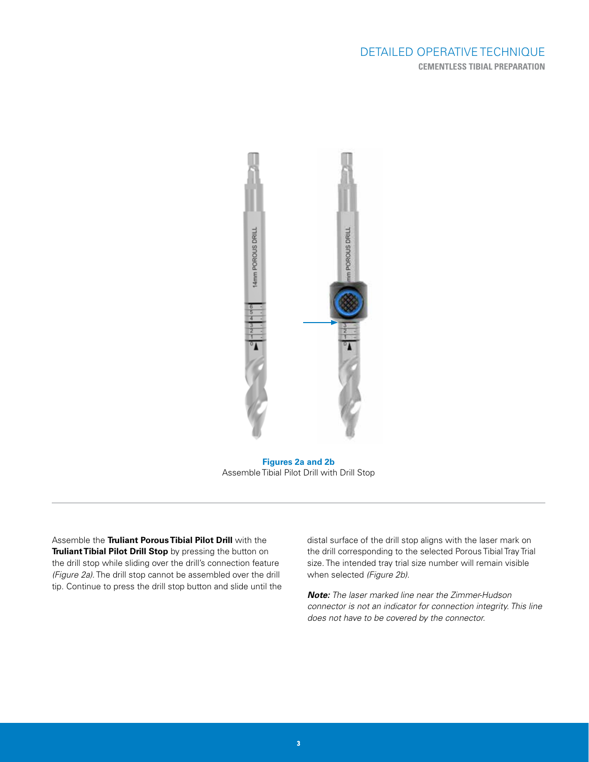

**Figures 2a and 2b** Assemble Tibial Pilot Drill with Drill Stop

Assemble the **Truliant Porous Tibial Pilot Drill** with the **Truliant Tibial Pilot Drill Stop** by pressing the button on the drill stop while sliding over the drill's connection feature *(Figure 2a)*. The drill stop cannot be assembled over the drill tip. Continue to press the drill stop button and slide until the distal surface of the drill stop aligns with the laser mark on the drill corresponding to the selected Porous Tibial Tray Trial size. The intended tray trial size number will remain visible when selected *(Figure 2b)*.

*Note: The laser marked line near the Zimmer-Hudson connector is not an indicator for connection integrity. This line does not have to be covered by the connector.*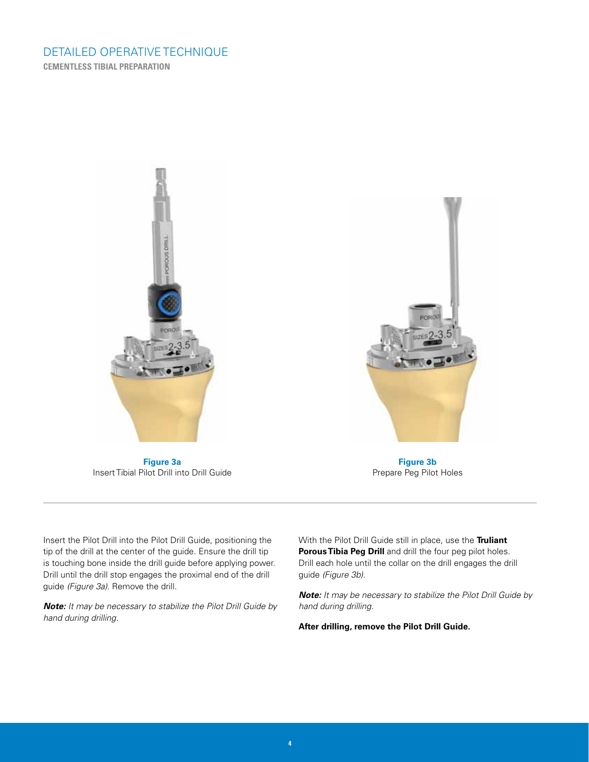

**Figure 3a** Insert Tibial Pilot Drill into Drill Guide



**Figure 3b** Prepare Peg Pilot Holes

Insert the Pilot Drill into the Pilot Drill Guide, positioning the tip of the drill at the center of the guide. Ensure the drill tip is touching bone inside the drill guide before applying power. Drill until the drill stop engages the proximal end of the drill guide *(Figure 3a)*. Remove the drill.

*Note: It may be necessary to stabilize the Pilot Drill Guide by hand during drilling.*

With the Pilot Drill Guide still in place, use the **Truliant Porous Tibia Peg Drill** and drill the four peg pilot holes. Drill each hole until the collar on the drill engages the drill guide *(Figure 3b)*.

*Note: It may be necessary to stabilize the Pilot Drill Guide by hand during drilling.* 

**After drilling, remove the Pilot Drill Guide.**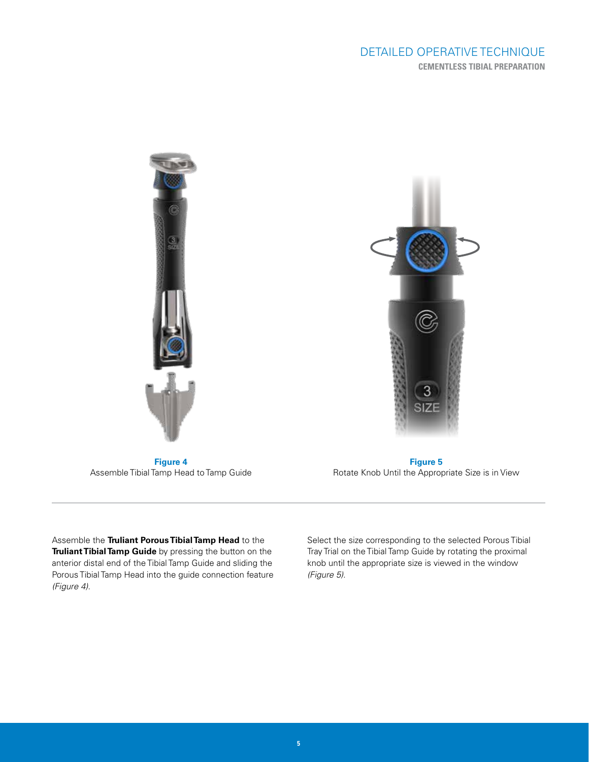

**Figure 4** Assemble Tibial Tamp Head to Tamp Guide

**Figure 5** Rotate Knob Until the Appropriate Size is in View

Assemble the **Truliant Porous Tibial Tamp Head** to the **Truliant Tibial Tamp Guide** by pressing the button on the anterior distal end of the Tibial Tamp Guide and sliding the Porous Tibial Tamp Head into the guide connection feature *(Figure 4)*.

Select the size corresponding to the selected Porous Tibial Tray Trial on the Tibial Tamp Guide by rotating the proximal knob until the appropriate size is viewed in the window *(Figure 5)*.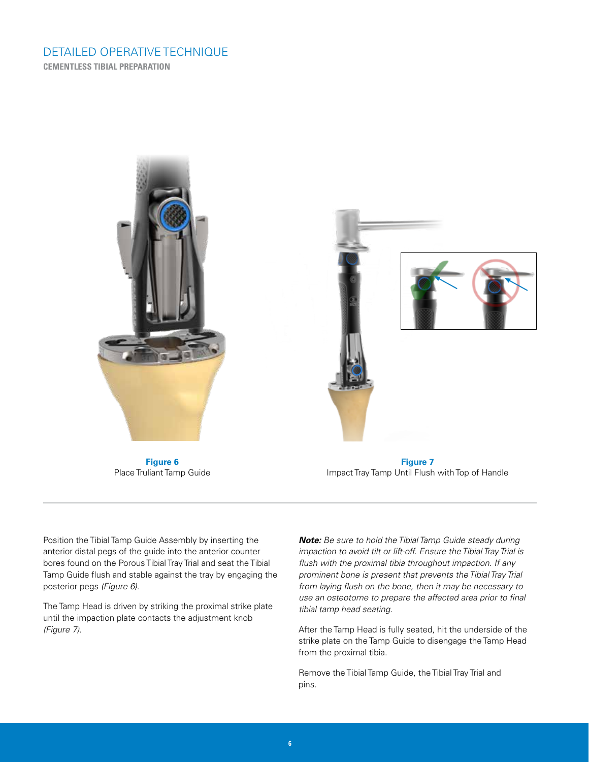

**Figure 6** Place Truliant Tamp Guide

**Figure 7** Impact Tray Tamp Until Flush with Top of Handle

Position the Tibial Tamp Guide Assembly by inserting the anterior distal pegs of the guide into the anterior counter bores found on the Porous Tibial Tray Trial and seat the Tibial Tamp Guide flush and stable against the tray by engaging the posterior pegs *(Figure 6)*.

The Tamp Head is driven by striking the proximal strike plate until the impaction plate contacts the adjustment knob *(Figure 7)*.

*Note: Be sure to hold the Tibial Tamp Guide steady during impaction to avoid tilt or lift-off. Ensure the Tibial Tray Trial is flush with the proximal tibia throughout impaction. If any prominent bone is present that prevents the Tibial Tray Trial from laying flush on the bone, then it may be necessary to use an osteotome to prepare the affected area prior to final tibial tamp head seating.*

After the Tamp Head is fully seated, hit the underside of the strike plate on the Tamp Guide to disengage the Tamp Head from the proximal tibia.

Remove the Tibial Tamp Guide, the Tibial Tray Trial and pins.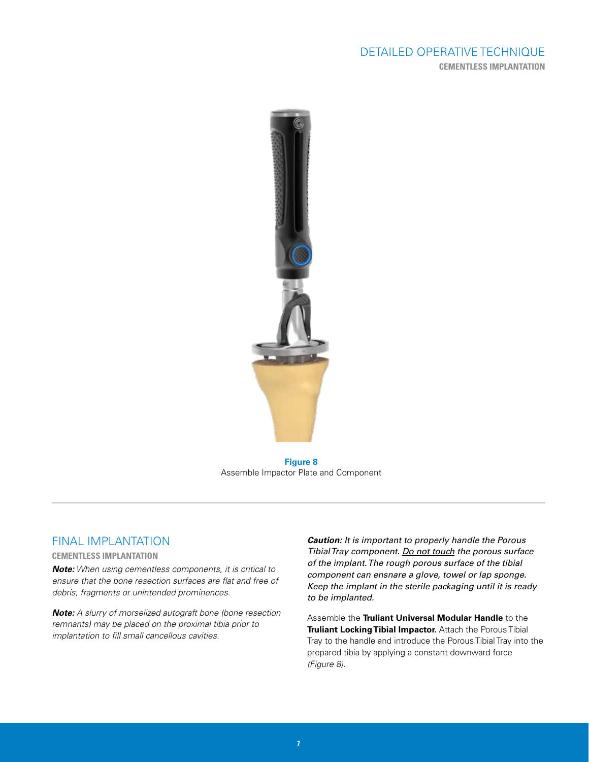## DETAILED OPERATIVE TECHNIQUE **CEMENTLESS IMPLANTATION**



**Figure 8** Assemble Impactor Plate and Component

### FINAL IMPLANTATION

#### **CEMENTLESS IMPLANTATION**

*Note: When using cementless components, it is critical to ensure that the bone resection surfaces are flat and free of debris, fragments or unintended prominences.* 

*Note: A slurry of morselized autograft bone (bone resection remnants) may be placed on the proximal tibia prior to implantation to fill small cancellous cavities.*

*Caution: It is important to properly handle the Porous Tibial Tray component. Do not touch the porous surface of the implant. The rough porous surface of the tibial component can ensnare a glove, towel or lap sponge. Keep the implant in the sterile packaging until it is ready to be implanted.*

Assemble the **Truliant Universal Modular Handle** to the **Truliant Locking Tibial Impactor.** Attach the Porous Tibial Tray to the handle and introduce the Porous Tibial Tray into the prepared tibia by applying a constant downward force *(Figure 8)*.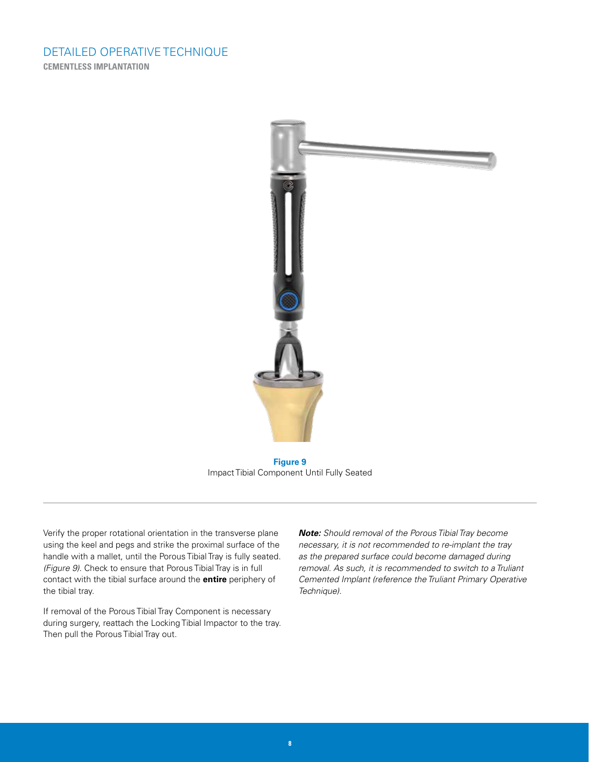## DETAILED OPERATIVE TECHNIQUE **CEMENTLESS IMPLANTATION**



**Figure 9** Impact Tibial Component Until Fully Seated

Verify the proper rotational orientation in the transverse plane using the keel and pegs and strike the proximal surface of the handle with a mallet, until the Porous Tibial Tray is fully seated. *(Figure 9)*. Check to ensure that Porous Tibial Tray is in full contact with the tibial surface around the **entire** periphery of the tibial tray.

If removal of the Porous Tibial Tray Component is necessary during surgery, reattach the Locking Tibial Impactor to the tray. Then pull the Porous Tibial Tray out.

*Note: Should removal of the Porous Tibial Tray become necessary, it is not recommended to re-implant the tray as the prepared surface could become damaged during removal. As such, it is recommended to switch to a Truliant Cemented Implant (reference the Truliant Primary Operative Technique).*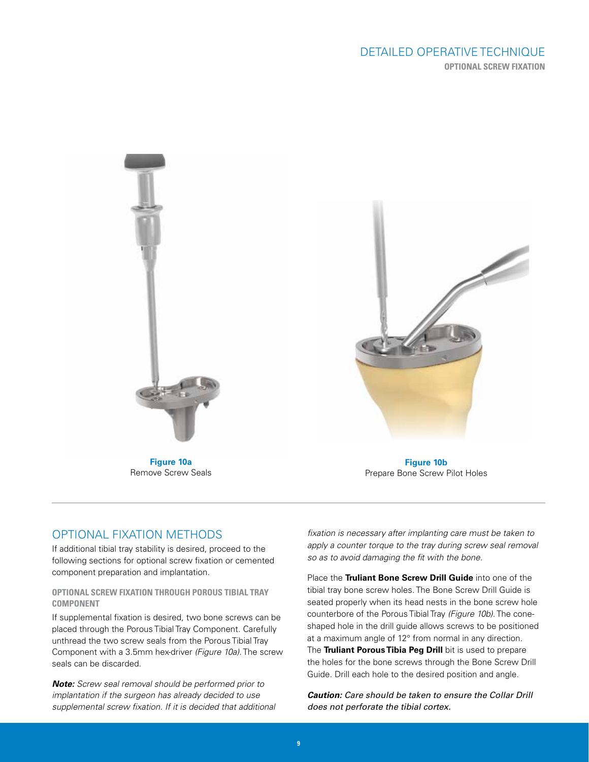## DETAILED OPERATIVE TECHNIQUE **OPTIONAL SCREW FIXATION**



**Figure 10a** Remove Screw Seals



**Figure 10b** Prepare Bone Screw Pilot Holes

## OPTIONAL FIXATION METHODS

If additional tibial tray stability is desired, proceed to the following sections for optional screw fixation or cemented component preparation and implantation.

#### **OPTIONAL SCREW FIXATION THROUGH POROUS TIBIAL TRAY COMPONENT**

If supplemental fixation is desired, two bone screws can be placed through the Porous Tibial Tray Component. Carefully unthread the two screw seals from the Porous Tibial Tray Component with a 3.5mm hex-driver *(Figure 10a)*. The screw seals can be discarded.

*Note: Screw seal removal should be performed prior to implantation if the surgeon has already decided to use supplemental screw fixation. If it is decided that additional* 

*fixation is necessary after implanting care must be taken to apply a counter torque to the tray during screw seal removal so as to avoid damaging the fit with the bone.*

Place the **Truliant Bone Screw Drill Guide** into one of the tibial tray bone screw holes. The Bone Screw Drill Guide is seated properly when its head nests in the bone screw hole counterbore of the Porous Tibial Tray *(Figure 10b)*. The coneshaped hole in the drill guide allows screws to be positioned at a maximum angle of 12° from normal in any direction. The **Truliant Porous Tibia Peg Drill** bit is used to prepare the holes for the bone screws through the Bone Screw Drill Guide. Drill each hole to the desired position and angle.

*Caution: Care should be taken to ensure the Collar Drill does not perforate the tibial cortex.*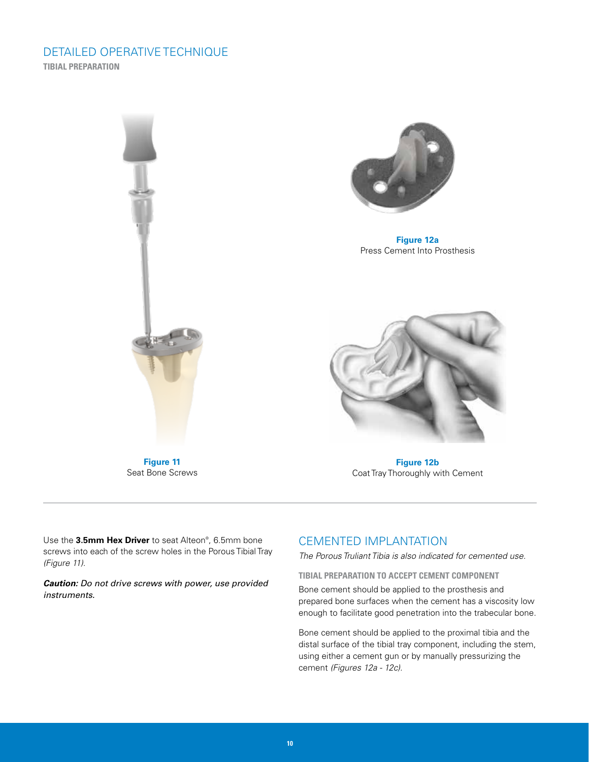## DETAILED OPERATIVE TECHNIQUE **TIBIAL PREPARATION**



**Figure 12a** Press Cement Into Prosthesis



**Figure 12b** Coat Tray Thoroughly with Cement

**Figure 11** Seat Bone Screws

Use the **3.5mm Hex Driver** to seat Alteon® , 6.5mm bone screws into each of the screw holes in the Porous Tibial Tray *(Figure 11)*.

*Caution: Do not drive screws with power, use provided instruments.*

## CEMENTED IMPLANTATION

*The Porous Truliant Tibia is also indicated for cemented use.*

**TIBIAL PREPARATION TO ACCEPT CEMENT COMPONENT**

Bone cement should be applied to the prosthesis and prepared bone surfaces when the cement has a viscosity low enough to facilitate good penetration into the trabecular bone.

Bone cement should be applied to the proximal tibia and the distal surface of the tibial tray component, including the stem, using either a cement gun or by manually pressurizing the cement *(Figures 12a - 12c)*.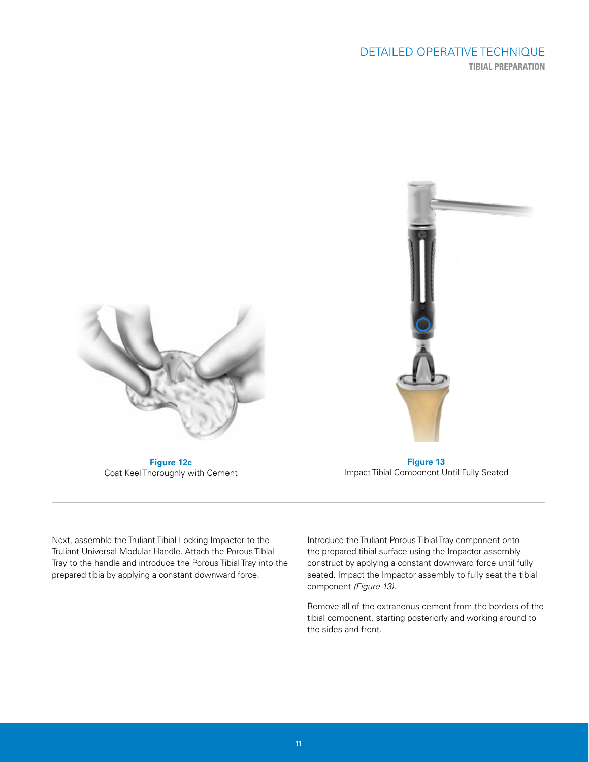## DETAILED OPERATIVE TECHNIQUE **TIBIAL PREPARATION**





**Figure 12c** Coat Keel Thoroughly with Cement

**Figure 13** Impact Tibial Component Until Fully Seated

Next, assemble the Truliant Tibial Locking Impactor to the Truliant Universal Modular Handle. Attach the Porous Tibial Tray to the handle and introduce the Porous Tibial Tray into the prepared tibia by applying a constant downward force.

Introduce the Truliant Porous Tibial Tray component onto the prepared tibial surface using the Impactor assembly construct by applying a constant downward force until fully seated. Impact the Impactor assembly to fully seat the tibial component *(Figure 13)*.

Remove all of the extraneous cement from the borders of the tibial component, starting posteriorly and working around to the sides and front.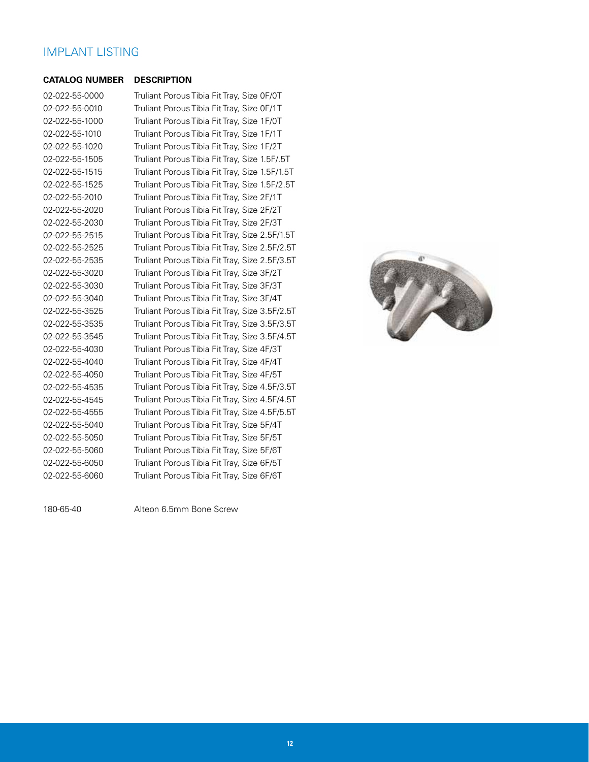## IMPLANT LISTING

#### **CATALOG NUMBER DESCRIPTION**

02-022-55-0000 02-022-55-0010 02-022-55-1000 02-022-55-1010 02-022-55-1020 02-022-55-1505 02-022-55-1515 02-022-55-1525 02-022-55-2010 02-022-55-2020 02-022-55-2030 02-022-55-2515 02-022-55-2525 02-022-55-2535 02-022-55-3020 02-022-55-3030 02-022-55-3040 02-022-55-3525 02-022-55-3535 02-022-55-3545 02-022-55-4030 02-022-55-4040 02-022-55-4050 02-022-55-4535 02-022-55-4545 02-022-55-4555 02-022-55-5040 02-022-55-5050 02-022-55-5060 02-022-55-6050 02-022-55-6060

Truliant Porous Tibia Fit Tray, Size 0F/0T Truliant Porous Tibia Fit Tray, Size 0F/1T Truliant Porous Tibia Fit Tray, Size 1F/0T Truliant Porous Tibia Fit Tray, Size 1F/1T Truliant Porous Tibia Fit Tray, Size 1F/2T Truliant Porous Tibia Fit Tray, Size 1.5F/.5T Truliant Porous Tibia Fit Tray, Size 1.5F/1.5T Truliant Porous Tibia Fit Tray, Size 1.5F/2.5T Truliant Porous Tibia Fit Tray, Size 2F/1T Truliant Porous Tibia Fit Tray, Size 2F/2T Truliant Porous Tibia Fit Tray, Size 2F/3T Truliant Porous Tibia Fit Tray, Size 2.5F/1.5T Truliant Porous Tibia Fit Tray, Size 2.5F/2.5T Truliant Porous Tibia Fit Tray, Size 2.5F/3.5T Truliant Porous Tibia Fit Tray, Size 3F/2T Truliant Porous Tibia Fit Tray, Size 3F/3T Truliant Porous Tibia Fit Tray, Size 3F/4T Truliant Porous Tibia Fit Tray, Size 3.5F/2.5T Truliant Porous Tibia Fit Tray, Size 3.5F/3.5T Truliant Porous Tibia Fit Tray, Size 3.5F/4.5T Truliant Porous Tibia Fit Tray, Size 4F/3T Truliant Porous Tibia Fit Tray, Size 4F/4T Truliant Porous Tibia Fit Tray, Size 4F/5T Truliant Porous Tibia Fit Tray, Size 4.5F/3.5T Truliant Porous Tibia Fit Tray, Size 4.5F/4.5T Truliant Porous Tibia Fit Tray, Size 4.5F/5.5T Truliant Porous Tibia Fit Tray, Size 5F/4T Truliant Porous Tibia Fit Tray, Size 5F/5T Truliant Porous Tibia Fit Tray, Size 5F/6T Truliant Porous Tibia Fit Tray, Size 6F/5T Truliant Porous Tibia Fit Tray, Size 6F/6T



180-65-40 Alteon 6.5mm Bone Screw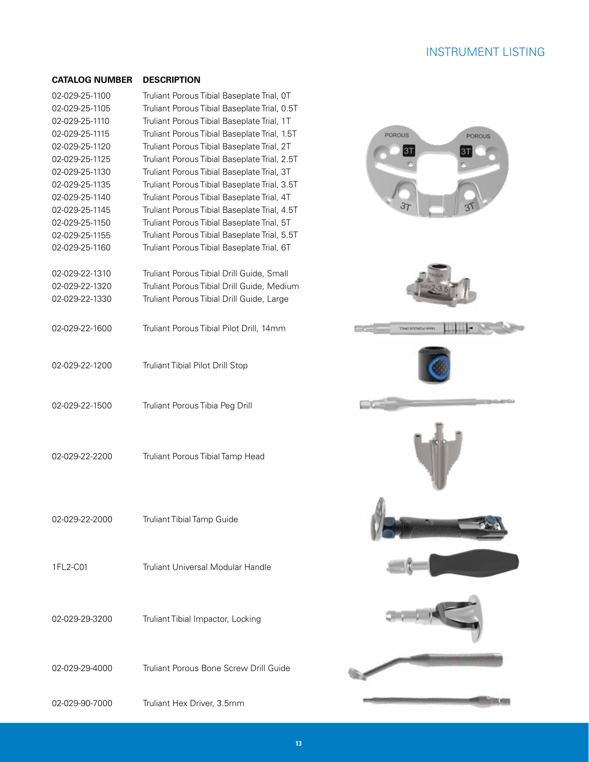## INSTRUMENT LISTING

### **CATALOG NUMBER DESCRIPTION**

| 02-029-25-1100<br>02-029-25-1105<br>02-029-25-1110<br>02-029-25-1115<br>02-029-25-1120<br>02-029-25-1125<br>02-029-25-1130<br>02-029-25-1135 | Truliant Porous Tibial Baseplate Trial, OT<br>Truliant Porous Tibial Baseplate Trial, 0.5T<br>Truliant Porous Tibial Baseplate Trial, 1T<br>Truliant Porous Tibial Baseplate Trial, 1.5T<br>Truliant Porous Tibial Baseplate Trial, 2T<br>Truliant Porous Tibial Baseplate Trial, 2.5T<br>Truliant Porous Tibial Baseplate Trial, 3T<br>Truliant Porous Tibial Baseplate Trial, 3.5T |
|----------------------------------------------------------------------------------------------------------------------------------------------|--------------------------------------------------------------------------------------------------------------------------------------------------------------------------------------------------------------------------------------------------------------------------------------------------------------------------------------------------------------------------------------|
| 02-029-25-1140<br>02-029-25-1145<br>02-029-25-1150<br>02-029-25-1155<br>02-029-25-1160                                                       | Truliant Porous Tibial Baseplate Trial, 4T<br>Truliant Porous Tibial Baseplate Trial, 4.5T<br>Truliant Porous Tibial Baseplate Trial, 5T<br>Truliant Porous Tibial Baseplate Trial, 5.5T<br>Truliant Porous Tibial Baseplate Trial, 6T                                                                                                                                               |
| 02-029-22-1310<br>02-029-22-1320<br>02-029-22-1330                                                                                           | Truliant Porous Tibial Drill Guide, Small<br>Truliant Porous Tibial Drill Guide, Medium<br>Truliant Porous Tibial Drill Guide, Large                                                                                                                                                                                                                                                 |
| 02-029-22-1600                                                                                                                               | Truliant Porous Tibial Pilot Drill, 14mm                                                                                                                                                                                                                                                                                                                                             |
| 02-029-22-1200                                                                                                                               | Truliant Tibial Pilot Drill Stop                                                                                                                                                                                                                                                                                                                                                     |
| 02-029-22-1500                                                                                                                               | Truliant Porous Tibia Peg Drill                                                                                                                                                                                                                                                                                                                                                      |
| 02-029-22-2200                                                                                                                               | Truliant Porous Tibial Tamp Head                                                                                                                                                                                                                                                                                                                                                     |
| 02-029-22-2000                                                                                                                               | <b>Truliant Tibial Tamp Guide</b>                                                                                                                                                                                                                                                                                                                                                    |
| 1FL2-C01                                                                                                                                     | Truliant Universal Modular Handle                                                                                                                                                                                                                                                                                                                                                    |
| 02-029-29-3200                                                                                                                               | Truliant Tibial Impactor, Locking                                                                                                                                                                                                                                                                                                                                                    |
| 02-029-29-4000                                                                                                                               | Truliant Porous Bone Screw Drill Guide                                                                                                                                                                                                                                                                                                                                               |

02-029-90-7000 Truliant Hex Driver, 3.5mm